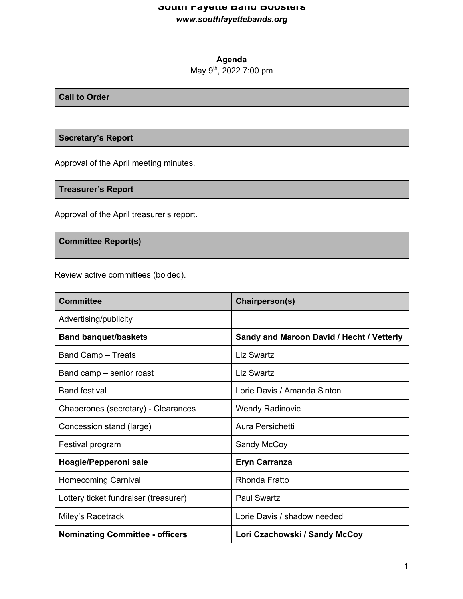# **South Fayette Band Boosters** *www.southfayettebands.org*

# **Agenda**

May 9<sup>th</sup>, 2022 7:00 pm

### **Call to Order**

### **Secretary's Report**

Approval of the April meeting minutes.

## **Treasurer's Report**

Approval of the April treasurer's report.

### **Committee Report(s)**

Review active committees (bolded).

| <b>Committee</b>                       | Chairperson(s)                            |
|----------------------------------------|-------------------------------------------|
| Advertising/publicity                  |                                           |
| <b>Band banquet/baskets</b>            | Sandy and Maroon David / Hecht / Vetterly |
| <b>Band Camp - Treats</b>              | Liz Swartz                                |
| Band camp – senior roast               | <b>Liz Swartz</b>                         |
| <b>Band festival</b>                   | Lorie Davis / Amanda Sinton               |
| Chaperones (secretary) - Clearances    | <b>Wendy Radinovic</b>                    |
| Concession stand (large)               | Aura Persichetti                          |
| Festival program                       | Sandy McCoy                               |
| Hoagie/Pepperoni sale                  | <b>Eryn Carranza</b>                      |
| <b>Homecoming Carnival</b>             | Rhonda Fratto                             |
| Lottery ticket fundraiser (treasurer)  | <b>Paul Swartz</b>                        |
| Miley's Racetrack                      | Lorie Davis / shadow needed               |
| <b>Nominating Committee - officers</b> | Lori Czachowski / Sandy McCoy             |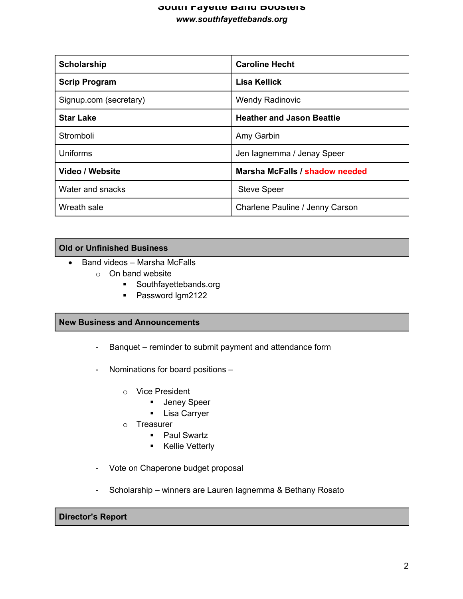### **South Fayette Band Boosters** *www.southfayettebands.org*

| <b>Scholarship</b>     | <b>Caroline Hecht</b>            |
|------------------------|----------------------------------|
| <b>Scrip Program</b>   | Lisa Kellick                     |
| Signup.com (secretary) | <b>Wendy Radinovic</b>           |
| <b>Star Lake</b>       | <b>Heather and Jason Beattie</b> |
| Stromboli              | Amy Garbin                       |
| Uniforms               | Jen lagnemma / Jenay Speer       |
| Video / Website        | Marsha McFalls / shadow needed   |
| Water and snacks       | <b>Steve Speer</b>               |
| Wreath sale            | Charlene Pauline / Jenny Carson  |

### **Old or Unfinished Business**

- Band videos Marsha McFalls
	- o On band website
		- § Southfayettebands.org
		- Password lgm2122

### **New Business and Announcements**

- Banquet reminder to submit payment and attendance form
- Nominations for board positions
	- o Vice President
		- **•** Jeney Speer
		- § Lisa Carryer
	- o Treasurer
		- Paul Swartz
		- Kellie Vetterly
- Vote on Chaperone budget proposal
- Scholarship winners are Lauren Iagnemma & Bethany Rosato

# **Director's Report**